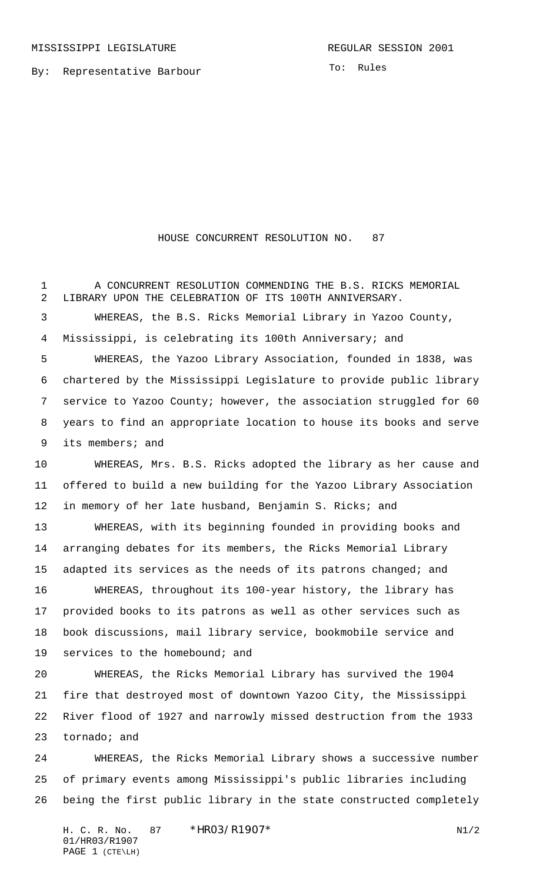By: Representative Barbour

To: Rules

## HOUSE CONCURRENT RESOLUTION NO. 87

 A CONCURRENT RESOLUTION COMMENDING THE B.S. RICKS MEMORIAL LIBRARY UPON THE CELEBRATION OF ITS 100TH ANNIVERSARY. WHEREAS, the B.S. Ricks Memorial Library in Yazoo County, Mississippi, is celebrating its 100th Anniversary; and WHEREAS, the Yazoo Library Association, founded in 1838, was chartered by the Mississippi Legislature to provide public library service to Yazoo County; however, the association struggled for 60 years to find an appropriate location to house its books and serve its members; and WHEREAS, Mrs. B.S. Ricks adopted the library as her cause and offered to build a new building for the Yazoo Library Association 12 in memory of her late husband, Benjamin S. Ricks; and WHEREAS, with its beginning founded in providing books and arranging debates for its members, the Ricks Memorial Library 15 adapted its services as the needs of its patrons changed; and WHEREAS, throughout its 100-year history, the library has provided books to its patrons as well as other services such as book discussions, mail library service, bookmobile service and services to the homebound; and WHEREAS, the Ricks Memorial Library has survived the 1904 fire that destroyed most of downtown Yazoo City, the Mississippi River flood of 1927 and narrowly missed destruction from the 1933 tornado; and WHEREAS, the Ricks Memorial Library shows a successive number of primary events among Mississippi's public libraries including being the first public library in the state constructed completely